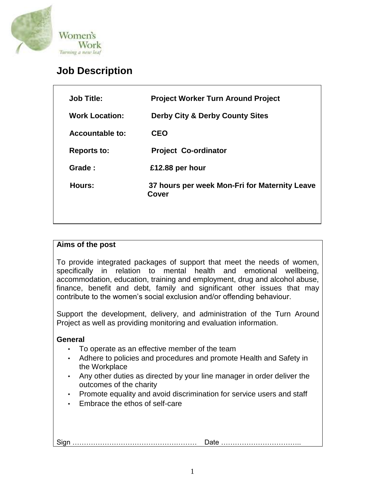

# **Job Description**

| <b>Job Title:</b>     | <b>Project Worker Turn Around Project</b>              |
|-----------------------|--------------------------------------------------------|
| <b>Work Location:</b> | <b>Derby City &amp; Derby County Sites</b>             |
| Accountable to:       | <b>CEO</b>                                             |
| <b>Reports to:</b>    | <b>Project Co-ordinator</b>                            |
| Grade:                | £12.88 per hour                                        |
| Hours:                | 37 hours per week Mon-Fri for Maternity Leave<br>Cover |
|                       |                                                        |
|                       |                                                        |

## **Aims of the post**

To provide integrated packages of support that meet the needs of women, specifically in relation to mental health and emotional wellbeing, accommodation, education, training and employment, drug and alcohol abuse, finance, benefit and debt, family and significant other issues that may contribute to the women's social exclusion and/or offending behaviour.

Support the development, delivery, and administration of the Turn Around Project as well as providing monitoring and evaluation information.

## **General**

- To operate as an effective member of the team
- Adhere to policies and procedures and promote Health and Safety in the Workplace
- Any other duties as directed by your line manager in order deliver the outcomes of the charity
- Promote equality and avoid discrimination for service users and staff
- Embrace the ethos of self-care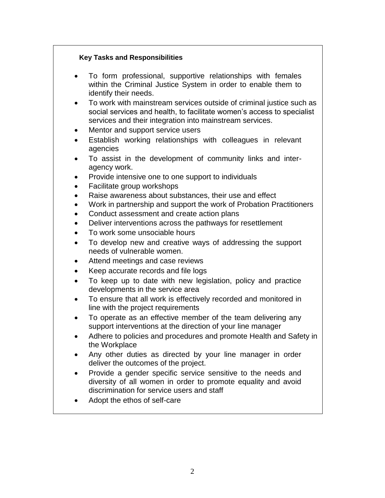#### **Key Tasks and Responsibilities**

- To form professional, supportive relationships with females within the Criminal Justice System in order to enable them to identify their needs.
- To work with mainstream services outside of criminal justice such as social services and health, to facilitate women's access to specialist services and their integration into mainstream services.
- Mentor and support service users
- Establish working relationships with colleagues in relevant agencies
- To assist in the development of community links and interagency work.
- Provide intensive one to one support to individuals
- Facilitate group workshops
- Raise awareness about substances, their use and effect
- Work in partnership and support the work of Probation Practitioners
- Conduct assessment and create action plans
- Deliver interventions across the pathways for resettlement
- To work some unsociable hours
- To develop new and creative ways of addressing the support needs of vulnerable women.
- Attend meetings and case reviews
- Keep accurate records and file logs
- To keep up to date with new legislation, policy and practice developments in the service area
- To ensure that all work is effectively recorded and monitored in line with the project requirements
- To operate as an effective member of the team delivering any support interventions at the direction of your line manager
- Adhere to policies and procedures and promote Health and Safety in the Workplace
- Any other duties as directed by your line manager in order deliver the outcomes of the project.
- Provide a gender specific service sensitive to the needs and diversity of all women in order to promote equality and avoid discrimination for service users and staff
- Adopt the ethos of self-care